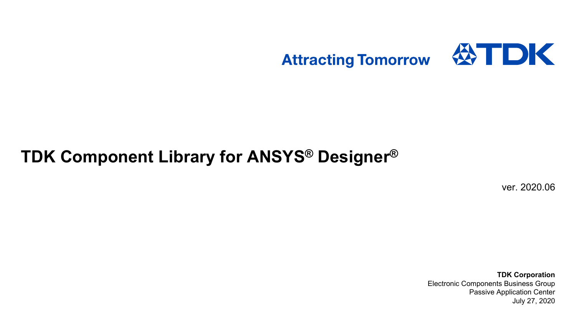

# **TDK Component Library for ANSYS ® Designer®**

ver. 2020.06

**TDK Corporation** Electronic Components Business Group Passive Application Center July 27, 2020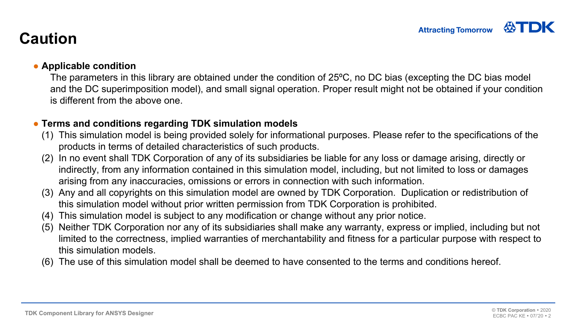# **Caution**

### ● **Applicable condition**

The parameters in this library are obtained under the condition of 25ºC, no DC bias (excepting the DC bias model and the DC superimposition model), and small signal operation. Proper result might not be obtained if your condition is different from the above one.

### ● **Terms and conditions regarding TDK simulation models**

- (1) This simulation model is being provided solely for informational purposes. Please refer to the specifications of the products in terms of detailed characteristics of such products.
- (2) In no event shall TDK Corporation of any of its subsidiaries be liable for any loss or damage arising, directly or indirectly, from any information contained in this simulation model, including, but not limited to loss or damages arising from any inaccuracies, omissions or errors in connection with such information.
- (3) Any and all copyrights on this simulation model are owned by TDK Corporation. Duplication or redistribution of this simulation model without prior written permission from TDK Corporation is prohibited.
- (4) This simulation model is subject to any modification or change without any prior notice.
- (5) Neither TDK Corporation nor any of its subsidiaries shall make any warranty, express or implied, including but not limited to the correctness, implied warranties of merchantability and fitness for a particular purpose with respect to this simulation models.
- (6) The use of this simulation model shall be deemed to have consented to the terms and conditions hereof.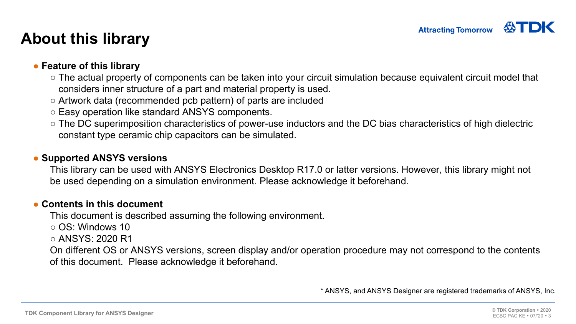## **About this library**

### ● **Feature of this library**

- $\circ$  The actual property of components can be taken into your circuit simulation because equivalent circuit model that considers inner structure of a part and material property is used.
- $\circ$  Artwork data (recommended pcb pattern) of parts are included
- $\circ$  Easy operation like standard ANSYS components.
- $\circ$  The DC superimposition characteristics of power-use inductors and the DC bias characteristics of high dielectric constant type ceramic chip capacitors can be simulated.

#### ●**Supported ANSYS versions**

This library can be used with ANSYS Electronics Desktop R17.0 or latter versions. However, this library might not be used depending on a simulation environment. Please acknowledge it beforehand.

#### ●**Contents in this document**

This document is described assuming the following environment.

- OS: Windows 10
- ANSYS: 2020 R1

On different OS or ANSYS versions, screen display and/or operation procedure may not correspond to the contents of this document. Please acknowledge it beforehand.

\* ANSYS, and ANSYS Designer are registered trademarks of ANSYS, Inc.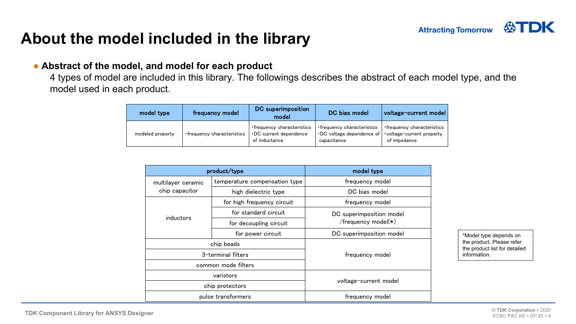

## **About the model included in the library**

#### ● **Abstract of the model, and model for each product**

4 types of model are included in this library. The followings describes the abstract of each model type, and the model used in each product.

| model type       | frequency model             | DC superimposition<br>model                                           | DC bias model                                                                  | voltage-current model                                                   |
|------------------|-----------------------------|-----------------------------------------------------------------------|--------------------------------------------------------------------------------|-------------------------------------------------------------------------|
| modeled property | • frequency characteristics | • frequency characteristics<br>DC current dependence<br>of inductance | • frequency characteristics<br>$\cdot$ DC voltage dependence of<br>capacitance | • frequency characteristics<br>voltage-current property<br>of impedance |

|                    | product/type                  | model type                                      |  |
|--------------------|-------------------------------|-------------------------------------------------|--|
| multilayer ceramic | temperature compensation type | frequency model                                 |  |
| chip capacitor     | high dielectric type          | DC bias model                                   |  |
|                    | for high frequency circuit    | frequency model                                 |  |
|                    | for standard circuit          | DC superimposition model<br>/frequency model(*) |  |
| inductors          | for decoupling circuit        |                                                 |  |
|                    | for power circuit             | DC superimposition model                        |  |
|                    | chip beads                    | frequency model                                 |  |
|                    | 3-terminal filters            |                                                 |  |
|                    | common mode filters           |                                                 |  |
|                    | varistors                     | voltage-current model                           |  |
|                    | chip protectors               |                                                 |  |
|                    | pulse transformers            | frequency model                                 |  |

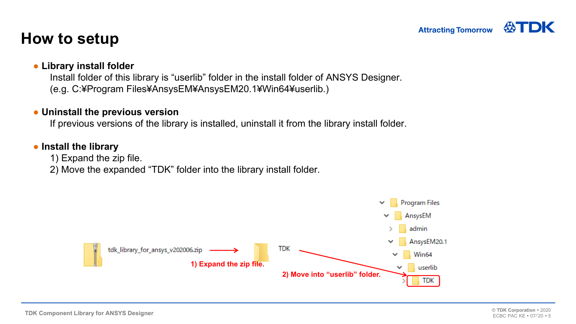## **How to setup**

### ● **Library install folder**

Install folder of this library is "userlib" folder in the install folder of ANSYS Designer. (e.g. C:¥Program Files¥AnsysEM¥AnsysEM20.1¥Win64¥userlib.)

#### ● **Uninstall the previous version**

If previous versions of the library is installed, uninstall it from the library install folder.

### ● **Install the library**

1) Expand the zip file.

2) Move the expanded "TDK" folder into the library install folder.

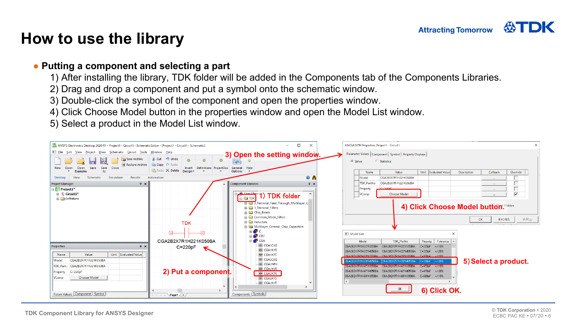### **How to use the library**

### ● **Putting a component and selecting a part**

- 1) After installing the library, TDK folder will be added in the Components tab of the Components Libraries.
- 2) Drag and drop a component and put a symbol onto the schematic window.
- 3) Double-click the symbol of the component and open the properties window.
- 4) Click Choose Model button in the properties window and open the Model List window.
- 5) Select a product in the Model List window.